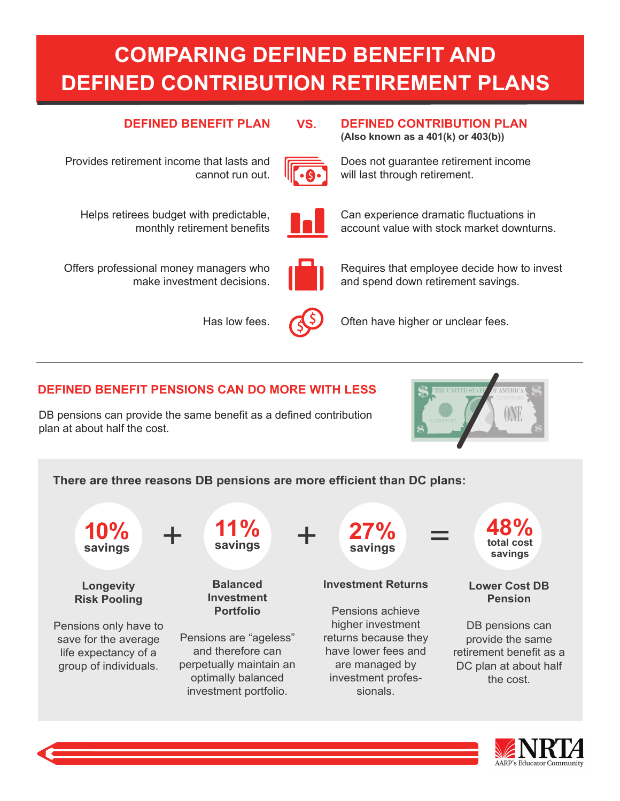# **COMPARING DEFINED BENEFIT AND DEFINED CONTRIBUTION RETIREMENT PLANS**

## **DEFINED BENEFIT PLAN DEFINED CONTRIBUTION PLAN**

Provides retirement income that lasts and cannot run out.



**VS.**

Does not guarantee retirement income will last through retirement.

Can experience dramatic fluctuations in account value with stock market downturns.

**(Also known as a 401(k) or 403(b))**

Helps retirees budget with predictable, monthly retirement benefits

Offers professional money managers who make investment decisions.

Has low fees.



Requires that employee decide how to invest and spend down retirement savings.



Often have higher or unclear fees.

# **DEFINED BENEFIT PENSIONS CAN DO MORE WITH LESS**

DB pensions can provide the same benefit as a defined contribution plan at about half the cost.



### **There are three reasons DB pensions are more efficient than DC plans:**